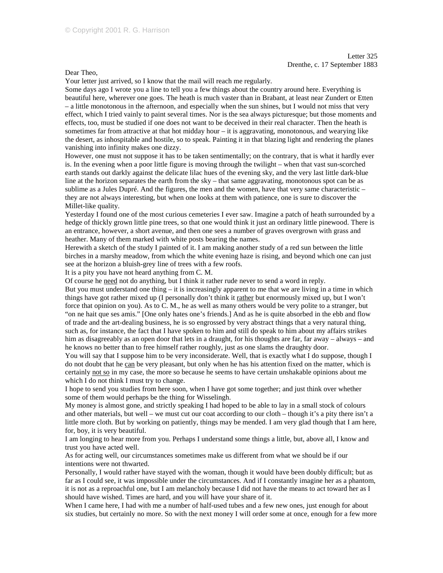Dear Theo,

Your letter just arrived, so I know that the mail will reach me regularly.

Some days ago I wrote you a line to tell you a few things about the country around here. Everything is beautiful here, wherever one goes. The heath is much vaster than in Brabant, at least near Zundert or Etten – a little monotonous in the afternoon, and especially when the sun shines, but I would not miss that very effect, which I tried vainly to paint several times. Nor is the sea always picturesque; but those moments and effects, too, must be studied if one does not want to be deceived in their real character. Then the heath is sometimes far from attractive at that hot midday hour – it is aggravating, monotonous, and wearying like the desert, as inhospitable and hostile, so to speak. Painting it in that blazing light and rendering the planes vanishing into infinity makes one dizzy.

However, one must not suppose it has to be taken sentimentally; on the contrary, that is what it hardly ever is. In the evening when a poor little figure is moving through the twilight – when that vast sun-scorched earth stands out darkly against the delicate lilac hues of the evening sky, and the very last little dark-blue line at the horizon separates the earth from the sky – that same aggravating, monotonous spot can be as sublime as a Jules Dupré. And the figures, the men and the women, have that very same characteristic – they are not always interesting, but when one looks at them with patience, one is sure to discover the Millet-like quality.

Yesterday I found one of the most curious cemeteries I ever saw. Imagine a patch of heath surrounded by a hedge of thickly grown little pine trees, so that one would think it just an ordinary little pinewood. There is an entrance, however, a short avenue, and then one sees a number of graves overgrown with grass and heather. Many of them marked with white posts bearing the names.

Herewith a sketch of the study I painted of it. I am making another study of a red sun between the little birches in a marshy meadow, from which the white evening haze is rising, and beyond which one can just see at the horizon a bluish-grey line of trees with a few roofs.

It is a pity you have not heard anything from C. M.

Of course he need not do anything, but I think it rather rude never to send a word in reply.

But you must understand one thing  $-$  it is increasingly apparent to me that we are living in a time in which things have got rather mixed up (I personally don't think it rather but enormously mixed up, but I won't force that opinion on you). As to C. M., he as well as many others would be very polite to a stranger, but "on ne hait que ses amis." [One only hates one's friends.] And as he is quite absorbed in the ebb and flow of trade and the art-dealing business, he is so engrossed by very abstract things that a very natural thing, such as, for instance, the fact that I have spoken to him and still do speak to him about my affairs strikes him as disagreeably as an open door that lets in a draught, for his thoughts are far, far away – always – and he knows no better than to free himself rather roughly, just as one slams the draughty door.

You will say that I suppose him to be very inconsiderate. Well, that is exactly what I do suppose, though I do not doubt that he can be very pleasant, but only when he has his attention fixed on the matter, which is certainly not so in my case, the more so because he seems to have certain unshakable opinions about me which I do not think I must try to change.

I hope to send you studies from here soon, when I have got some together; and just think over whether some of them would perhaps be the thing for Wisselingh.

My money is almost gone, and strictly speaking I had hoped to be able to lay in a small stock of colours and other materials, but well – we must cut our coat according to our cloth – though it's a pity there isn't a little more cloth. But by working on patiently, things may be mended. I am very glad though that I am here, for, boy, it is very beautiful.

I am longing to hear more from you. Perhaps I understand some things a little, but, above all, I know and trust you have acted well.

As for acting well, our circumstances sometimes make us different from what we should be if our intentions were not thwarted.

Personally, I would rather have stayed with the woman, though it would have been doubly difficult; but as far as I could see, it was impossible under the circumstances. And if I constantly imagine her as a phantom, it is not as a reproachful one, but I am melancholy because I did not have the means to act toward her as I should have wished. Times are hard, and you will have your share of it.

When I came here, I had with me a number of half-used tubes and a few new ones, just enough for about six studies, but certainly no more. So with the next money I will order some at once, enough for a few more